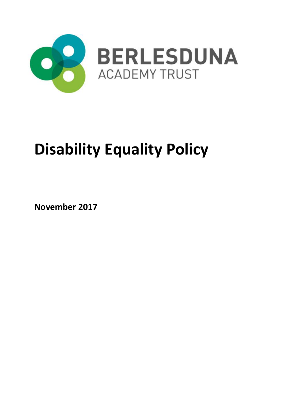

# **Disability Equality Policy**

**November 2017**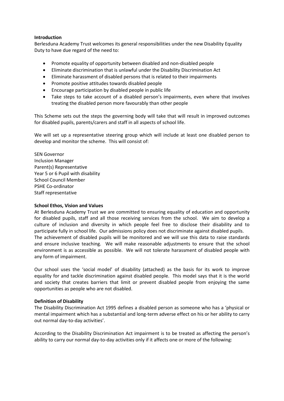#### **Introduction**

Berlesduna Academy Trust welcomes its general responsibilities under the new Disability Equality Duty to have due regard of the need to:

- Promote equality of opportunity between disabled and non-disabled people
- Eliminate discrimination that is unlawful under the Disability Discrimination Act
- Eliminate harassment of disabled persons that is related to their impairments
- Promote positive attitudes towards disabled people
- Encourage participation by disabled people in public life
- Take steps to take account of a disabled person's impairments, even where that involves treating the disabled person more favourably than other people

This Scheme sets out the steps the governing body will take that will result in improved outcomes for disabled pupils, parents/carers and staff in all aspects of school life.

We will set up a representative steering group which will include at least one disabled person to develop and monitor the scheme. This will consist of:

SEN Governor Inclusion Manager Parent(s) Representative Year 5 or 6 Pupil with disability School Council Member PSHE Co-ordinator Staff representative

#### **School Ethos, Vision and Values**

At Berlesduna Academy Trust we are committed to ensuring equality of education and opportunity for disabled pupils, staff and all those receiving services from the school. We aim to develop a culture of inclusion and diversity in which people feel free to disclose their disability and to participate fully in school life. Our admissions policy does not discriminate against disabled pupils. The achievement of disabled pupils will be monitored and we will use this data to raise standards and ensure inclusive teaching. We will make reasonable adjustments to ensure that the school environment is as accessible as possible. We will not tolerate harassment of disabled people with any form of impairment.

Our school uses the 'social model' of disability (attached) as the basis for its work to improve equality for and tackle discrimination against disabled people. This model says that it is the world and society that creates barriers that limit or prevent disabled people from enjoying the same opportunities as people who are not disabled.

#### **Definition of Disability**

The Disability Discrimination Act 1995 defines a disabled person as someone who has a 'physical or mental impairment which has a substantial and long-term adverse effect on his or her ability to carry out normal day-to-day activities'.

According to the Disability Discrimination Act impairment is to be treated as affecting the person's ability to carry our normal day-to-day activities only if it affects one or more of the following: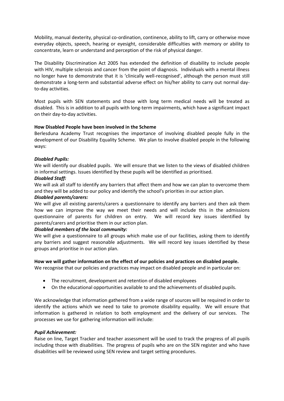Mobility, manual dexterity, physical co-ordination, continence, ability to lift, carry or otherwise move everyday objects, speech, hearing or eyesight, considerable difficulties with memory or ability to concentrate, learn or understand and perception of the risk of physical danger.

The Disability Discrimination Act 2005 has extended the definition of disability to include people with HIV, multiple sclerosis and cancer from the point of diagnosis. Individuals with a mental illness no longer have to demonstrate that it is 'clinically well-recognised', although the person must still demonstrate a long-term and substantial adverse effect on his/her ability to carry out normal dayto-day activities.

Most pupils with SEN statements and those with long term medical needs will be treated as disabled. This is in addition to all pupils with long-term impairments, which have a significant impact on their day-to-day activities.

# **How Disabled People have been involved in the Scheme**

Berlesduna Academy Trust recognises the importance of involving disabled people fully in the development of our Disability Equality Scheme. We plan to involve disabled people in the following ways:

# *Disabled Pupils:*

We will identify our disabled pupils. We will ensure that we listen to the views of disabled children in informal settings. Issues identified by these pupils will be identified as prioritised.

# *Disabled Staff:*

We will ask all staff to identify any barriers that affect them and how we can plan to overcome them and they will be added to our policy and identify the school's priorities in our action plan.

#### *Disabled parents/carers:*

We will give all existing parents/carers a questionnaire to identify any barriers and then ask them how we can improve the way we meet their needs and will include this in the admissions questionnaire of parents for children on entry. We will record key issues identified by parents/carers and prioritise them in our action plan.

# *Disabled members of the local community:*

We will give a questionnaire to all groups which make use of our facilities, asking them to identify any barriers and suggest reasonable adjustments. We will record key issues identified by these groups and prioritise in our action plan.

#### **How we will gather information on the effect of our policies and practices on disabled people.**

We recognise that our policies and practices may impact on disabled people and in particular on:

- The recruitment, development and retention of disabled employees
- On the educational opportunities available to and the achievements of disabled pupils.

We acknowledge that information gathered from a wide range of sources will be required in order to identify the actions which we need to take to promote disability equality. We will ensure that information is gathered in relation to both employment and the delivery of our services. The processes we use for gathering information will include:

#### *Pupil Achievement:*

Raise on line, Target Tracker and teacher assessment will be used to track the progress of all pupils including those with disabilities. The progress of pupils who are on the SEN register and who have disabilities will be reviewed using SEN review and target setting procedures.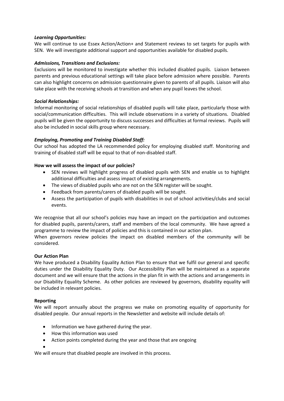# *Learning Opportunities:*

We will continue to use Essex Action/Action+ and Statement reviews to set targets for pupils with SEN. We will investigate additional support and opportunities available for disabled pupils.

# *Admissions, Transitions and Exclusions:*

Exclusions will be monitored to investigate whether this included disabled pupils. Liaison between parents and previous educational settings will take place before admission where possible. Parents can also highlight concerns on admission questionnaire given to parents of all pupils. Liaison will also take place with the receiving schools at transition and when any pupil leaves the school.

# *Social Relationships:*

Informal monitoring of social relationships of disabled pupils will take place, particularly those with social/communication difficulties. This will include observations in a variety of situations. Disabled pupils will be given the opportunity to discuss successes and difficulties at formal reviews. Pupils will also be included in social skills group where necessary.

# *Employing, Promoting and Training Disabled Staff:*

Our school has adopted the LA recommended policy for employing disabled staff. Monitoring and training of disabled staff will be equal to that of non-disabled staff.

# **How we will assess the impact of our policies?**

- SEN reviews will highlight progress of disabled pupils with SEN and enable us to highlight additional difficulties and assess impact of existing arrangements.
- The views of disabled pupils who are not on the SEN register will be sought.
- Feedback from parents/carers of disabled pupils will be sought.
- Assess the participation of pupils with disabilities in out of school activities/clubs and social events.

We recognise that all our school's policies may have an impact on the participation and outcomes for disabled pupils, parents/carers, staff and members of the local community. We have agreed a programme to review the impact of policies and this is contained in our action plan.

When governors review policies the impact on disabled members of the community will be considered.

# **Our Action Plan**

We have produced a Disability Equality Action Plan to ensure that we fulfil our general and specific duties under the Disability Equality Duty. Our Accessibility Plan will be maintained as a separate document and we will ensure that the actions in the plan fit in with the actions and arrangements in our Disability Equality Scheme. As other policies are reviewed by governors, disability equality will be included in relevant policies.

#### **Reporting**

We will report annually about the progress we make on promoting equality of opportunity for disabled people. Our annual reports in the Newsletter and website will include details of:

- Information we have gathered during the year.
- How this information was used
- Action points completed during the year and those that are ongoing

 $\bullet$ We will ensure that disabled people are involved in this process.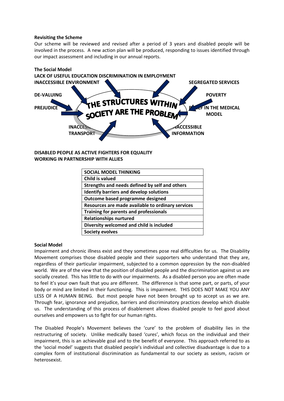#### **Revisiting the Scheme**

Our scheme will be reviewed and revised after a period of 3 years and disabled people will be involved in the process. A new action plan will be produced, responding to issues identified through our impact assessment and including in our annual reports.



**DISABLED PEOPLE AS ACTIVE FIGHTERS FOR EQUALITY WORKING IN PARTNERSHIP WITH ALLIES**

| <b>SOCIAL MODEL THINKING</b>                      |
|---------------------------------------------------|
| Child is valued                                   |
| Strengths and needs defined by self and others    |
| <b>Identify barriers and develop solutions</b>    |
| Outcome based programme designed                  |
| Resources are made available to ordinary services |
| Training for parents and professionals            |
| <b>Relationships nurtured</b>                     |
| Diversity welcomed and child is included          |
| <b>Society evolves</b>                            |

#### **Social Model**

Impairment and chronic illness exist and they sometimes pose real difficulties for us. The Disability Movement comprises those disabled people and their supporters who understand that they are, regardless of their particular impairment, subjected to a common oppression by the non-disabled world. We are of the view that the position of disabled people and the discrimination against us are socially created. This has little to do with our impairments. As a disabled person you are often made to feel it's your own fault that you are different. The difference is that some part, or parts, of your body or mind are limited in their functioning. This is impairment. THIS DOES NOT MAKE YOU ANY LESS OF A HUMAN BEING. But most people have not been brought up to accept us as we are. Through fear, ignorance and prejudice, barriers and discriminatory practices develop which disable us. The understanding of this process of disablement allows disabled people to feel good about ourselves and empowers us to fight for our human rights.

The Disabled People's Movement believes the 'cure' to the problem of disability lies in the restructuring of society. Unlike medically based 'cures', which focus on the individual and their impairment, this is an achievable goal and to the benefit of everyone. This approach referred to as the 'social model' suggests that disabled people's individual and collective disadvantage is due to a complex form of institutional discrimination as fundamental to our society as sexism, racism or heterosexist.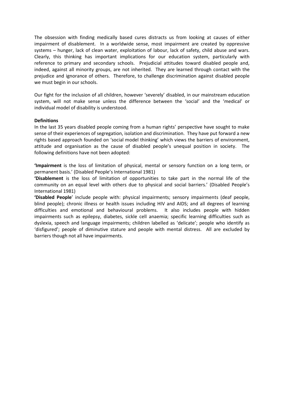The obsession with finding medically based cures distracts us from looking at causes of either impairment of disablement. In a worldwide sense, most impairment are created by oppressive systems – hunger, lack of clean water, exploitation of labour, lack of safety, child abuse and wars. Clearly, this thinking has important implications for our education system, particularly with reference to primary and secondary schools. Prejudicial attitudes toward disabled people and, indeed, against all minority groups, are not inherited. They are learned through contact with the prejudice and ignorance of others. Therefore, to challenge discrimination against disabled people we must begin in our schools.

Our fight for the inclusion of all children, however 'severely' disabled, in our mainstream education system, will not make sense unless the difference between the 'social' and the 'medical' or individual model of disability is understood.

#### **Definitions**

In the last 35 years disabled people coming from a human rights' perspective have sought to make sense of their experiences of segregation, isolation and discrimination. They have put forward a new rights based approach founded on 'social model thinking' which views the barriers of environment, attitude and organisation as the cause of disabled people's unequal position in society. The following definitions have not been adopted:

**'Impairment** is the loss of limitation of physical, mental or sensory function on a long term, or permanent basis.' (Disabled People's International 1981)

**'Disablement** is the loss of limitation of opportunities to take part in the normal life of the community on an equal level with others due to physical and social barriers.' (Disabled People's International 1981)

**'Disabled People**' include people with: physical impairments; sensory impairments (deaf people, blind people); chronic illness or health issues including HIV and AIDS; and all degrees of learning difficulties and emotional and behavioural problems. It also includes people with hidden impairments such as epilepsy, diabetes, sickle cell anaemia; specific learning difficulties such as dyslexia, speech and language impairments; children labelled as 'delicate'; people who identify as 'disfigured'; people of diminutive stature and people with mental distress. All are excluded by barriers though not all have impairments.